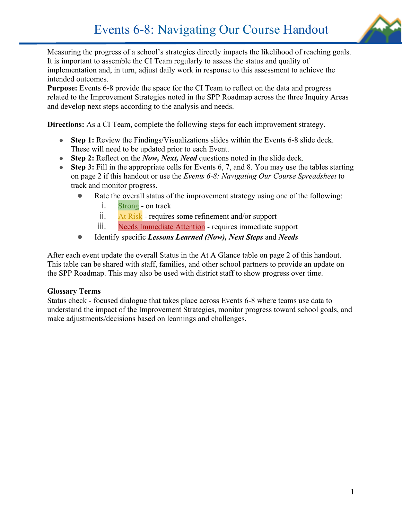

Measuring the progress of a school's strategies directly impacts the likelihood of reaching goals. It is important to assemble the CI Team regularly to assess the status and quality of implementation and, in turn, adjust daily work in response to this assessment to achieve the intended outcomes.

**Purpose:** Events 6-8 provide the space for the CI Team to reflect on the data and progress related to the Improvement Strategies noted in the SPP Roadmap across the three Inquiry Areas and develop next steps according to the analysis and needs.

**Directions:** As a CI Team, complete the following steps for each improvement strategy.

- **Step 1:** Review the Findings/Visualizations slides within the Events 6-8 slide deck. These will need to be updated prior to each Event.
- **Step 2:** Reflect on the *Now, Next, Need* questions noted in the slide deck.
- **Step 3:** Fill in the appropriate cells for Events 6, 7, and 8. You may use the tables starting on page 2 if this handout or use the *Events 6-8: Navigating Our Course Spreadsheet* to track and monitor progress.
	- Rate the overall status of the improvement strategy using one of the following:
		- i. Strong on track
		- ii. At Risk requires some refinement and/or support
		- iii. Needs Immediate Attention requires immediate support
	- Identify specific *Lessons Learned (Now), Next Steps* and *Needs*

After each event update the overall Status in the At A Glance table on page 2 of this handout. This table can be shared with staff, families, and other school partners to provide an update on the SPP Roadmap. This may also be used with district staff to show progress over time.

### **Glossary Terms**

Status check - focused dialogue that takes place across Events 6-8 where teams use data to understand the impact of the Improvement Strategies, monitor progress toward school goals, and make adjustments/decisions based on learnings and challenges.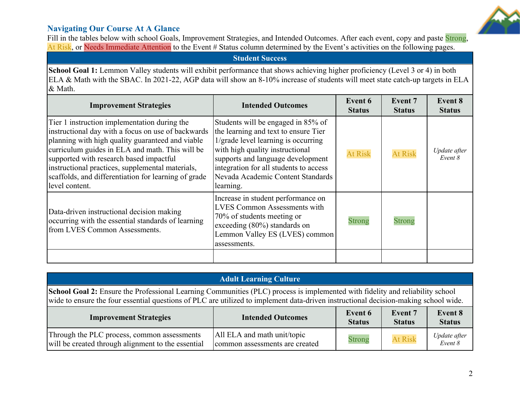### **Navigating Our Course At A Glance**



Fill in the tables below with school Goals, Improvement Strategies, and Intended Outcomes. After each event, copy and paste Strong, At Risk, or Needs Immediate Attention to the Event # Status column determined by the Event's activities on the following pages.

### **Student Success**

**School Goal 1:** Lemmon Valley students will exhibit performance that shows achieving higher proficiency (Level 3 or 4) in both ELA & Math with the SBAC. In 2021-22, AGP data will show an 8-10% increase of students will meet state catch-up targets in ELA & Math.

| <b>Improvement Strategies</b>                                                                                                                                                                                                                                                                                                                                                      | <b>Intended Outcomes</b>                                                                                                                                                                                                                                                              | Event 6<br><b>Status</b> | <b>Event 7</b><br><b>Status</b> | <b>Event 8</b><br><b>Status</b> |
|------------------------------------------------------------------------------------------------------------------------------------------------------------------------------------------------------------------------------------------------------------------------------------------------------------------------------------------------------------------------------------|---------------------------------------------------------------------------------------------------------------------------------------------------------------------------------------------------------------------------------------------------------------------------------------|--------------------------|---------------------------------|---------------------------------|
| Tier 1 instruction implementation during the<br>instructional day with a focus on use of backwards<br>planning with high quality guaranteed and viable<br>curriculum guides in ELA and math. This will be<br>supported with research based impactful<br>instructional practices, supplemental materials,<br>scaffolds, and differentiation for learning of grade<br>level content. | Students will be engaged in 85% of<br>the learning and text to ensure Tier<br>1/grade level learning is occurring<br>with high quality instructional<br>supports and language development<br>integration for all students to access<br>Nevada Academic Content Standards<br>learning. | <b>At Risk</b>           | <b>At Risk</b>                  | Update after<br>Event 8         |
| Data-driven instructional decision making<br>occurring with the essential standards of learning<br>from LVES Common Assessments.                                                                                                                                                                                                                                                   | Increase in student performance on<br><b>LVES Common Assessments with</b><br>70% of students meeting or<br>exceeding $(80\%)$ standards on<br>Lemmon Valley ES (LVES) common<br>assessments.                                                                                          | <b>Strong</b>            | <b>Strong</b>                   |                                 |
|                                                                                                                                                                                                                                                                                                                                                                                    |                                                                                                                                                                                                                                                                                       |                          |                                 |                                 |

| <b>Adult Learning Culture</b>                                                                                                                                                                                                                                        |                                                               |               |                |                         |
|----------------------------------------------------------------------------------------------------------------------------------------------------------------------------------------------------------------------------------------------------------------------|---------------------------------------------------------------|---------------|----------------|-------------------------|
| School Goal 2: Ensure the Professional Learning Communities (PLC) process is implemented with fidelity and reliability school<br>wide to ensure the four essential questions of PLC are utilized to implement data-driven instructional decision-making school wide. |                                                               |               |                |                         |
| Event 8<br>Event 6<br>Event 7<br><b>Intended Outcomes</b><br><b>Improvement Strategies</b><br><b>Status</b><br><b>Status</b><br><b>Status</b>                                                                                                                        |                                                               |               |                |                         |
| Through the PLC process, common assessments<br>will be created through alignment to the essential                                                                                                                                                                    | All ELA and math unit/topic<br>common assessments are created | <b>Strong</b> | <b>At Risk</b> | Update after<br>Event 8 |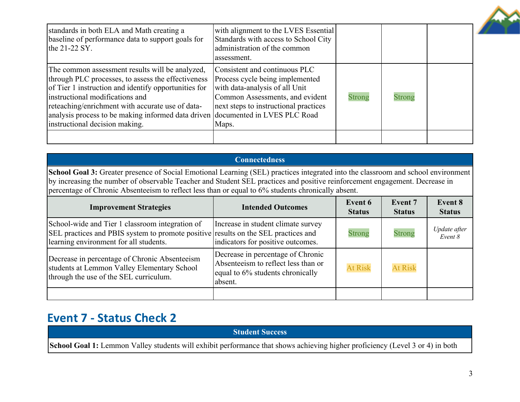| standards in both ELA and Math creating a<br>baseline of performance data to support goals for<br>the $21-22$ SY.                                                                                                                                                                                                                                                        | with alignment to the LVES Essential<br>Standards with access to School City<br>administration of the common<br>assessment.                                                             |               |               |  |
|--------------------------------------------------------------------------------------------------------------------------------------------------------------------------------------------------------------------------------------------------------------------------------------------------------------------------------------------------------------------------|-----------------------------------------------------------------------------------------------------------------------------------------------------------------------------------------|---------------|---------------|--|
| The common assessment results will be analyzed,<br>through PLC processes, to assess the effectiveness<br>of Tier 1 instruction and identify opportunities for<br>instructional modifications and<br>reteaching/enrichment with accurate use of data-<br>analysis process to be making informed data driven documented in LVES PLC Road<br>instructional decision making. | Consistent and continuous PLC<br>Process cycle being implemented<br>with data-analysis of all Unit<br>Common Assessments, and evident<br>next steps to instructional practices<br>Maps. | <b>Strong</b> | <b>Strong</b> |  |
|                                                                                                                                                                                                                                                                                                                                                                          |                                                                                                                                                                                         |               |               |  |

## **Connectedness School Goal 3:** Greater presence of Social Emotional Learning (SEL) practices integrated into the classroom and school environment by increasing the number of observable Teacher and Student SEL practices and positive reinforcement engagement. Decrease in percentage of Chronic Absenteeism to reflect less than or equal to 6% students chronically absent.

| <b>Improvement Strategies</b>                                                                                                                                                   | <b>Intended Outcomes</b>                                                                                                | Event 6<br><b>Status</b> | <b>Event 7</b><br><b>Status</b> | <b>Event 8</b><br><b>Status</b> |
|---------------------------------------------------------------------------------------------------------------------------------------------------------------------------------|-------------------------------------------------------------------------------------------------------------------------|--------------------------|---------------------------------|---------------------------------|
| School-wide and Tier 1 classroom integration of<br>SEL practices and PBIS system to promote positive results on the SEL practices and<br>learning environment for all students. | Increase in student climate survey<br>indicators for positive outcomes.                                                 | <b>Strong</b>            | <b>Strong</b>                   | Update after<br>Event 8         |
| Decrease in percentage of Chronic Absenteeism<br>students at Lemmon Valley Elementary School<br>through the use of the SEL curriculum.                                          | Decrease in percentage of Chronic<br>Absenteeism to reflect less than or<br>equal to 6% students chronically<br>absent. | <b>At Risk</b>           | <b>At Risk</b>                  |                                 |
|                                                                                                                                                                                 |                                                                                                                         |                          |                                 |                                 |

# **Event 7 - Status Check 2**

**Student Success**

**School Goal 1:** Lemmon Valley students will exhibit performance that shows achieving higher proficiency (Level 3 or 4) in both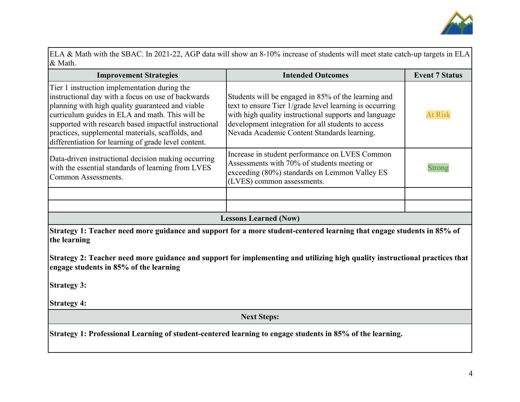

ELA & Math with the SBAC. In 2021-22, AGP data will show an 8-10% increase of students will meet state catch-up targets in ELA & Math.

| <b>Improvement Strategies</b>                                                                                                                                                                                                                                                                                                                                                   | <b>Intended Outcomes</b>                                                                                                                                                                                                                                                     | <b>Event 7 Status</b> |  |
|---------------------------------------------------------------------------------------------------------------------------------------------------------------------------------------------------------------------------------------------------------------------------------------------------------------------------------------------------------------------------------|------------------------------------------------------------------------------------------------------------------------------------------------------------------------------------------------------------------------------------------------------------------------------|-----------------------|--|
| Tier 1 instruction implementation during the<br>instructional day with a focus on use of backwards<br>planning with high quality guaranteed and viable<br>curriculum guides in ELA and math. This will be<br>supported with research based impactful instructional<br>practices, supplemental materials, scaffolds, and<br>differentiation for learning of grade level content. | Students will be engaged in 85% of the learning and<br>text to ensure Tier 1/grade level learning is occurring<br>with high quality instructional supports and language<br>development integration for all students to access<br>Nevada Academic Content Standards learning. | <b>At Risk</b>        |  |
| Data-driven instructional decision making occurring<br>with the essential standards of learning from LVES<br>Common Assessments.                                                                                                                                                                                                                                                | Increase in student performance on LVES Common<br>Assessments with 70% of students meeting or<br>exceeding (80%) standards on Lemmon Valley ES<br>(LVES) common assessments.                                                                                                 | <b>Strong</b>         |  |
|                                                                                                                                                                                                                                                                                                                                                                                 |                                                                                                                                                                                                                                                                              |                       |  |
|                                                                                                                                                                                                                                                                                                                                                                                 |                                                                                                                                                                                                                                                                              |                       |  |
| <b>Lessons Learned (Now)</b>                                                                                                                                                                                                                                                                                                                                                    |                                                                                                                                                                                                                                                                              |                       |  |

**Strategy 1: Teacher need more guidance and support for a more student-centered learning that engage students in 85% of the learning**

**Strategy 2: Teacher need more guidance and support for implementing and utilizing high quality instructional practices that engage students in 85% of the learning**

**Strategy 3:**

**Strategy 4:**

**Next Steps:**

**Strategy 1: Professional Learning of student-centered learning to engage students in 85% of the learning.**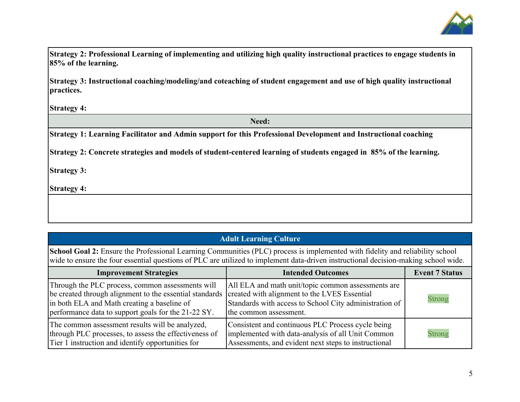

**Strategy 2: Professional Learning of implementing and utilizing high quality instructional practices to engage students in 85% of the learning.**

**Strategy 3: Instructional coaching/modeling/and coteaching of student engagement and use of high quality instructional practices.**

**Strategy 4:**

**Need:**

**Strategy 1: Learning Facilitator and Admin support for this Professional Development and Instructional coaching**

**Strategy 2: Concrete strategies and models of student-centered learning of students engaged in 85% of the learning.**

**Strategy 3:**

**Strategy 4:**

### **Adult Learning Culture**

**School Goal 2:** Ensure the Professional Learning Communities (PLC) process is implemented with fidelity and reliability school wide to ensure the four essential questions of PLC are utilized to implement data-driven instructional decision-making school wide.

| <b>Improvement Strategies</b>                                                                                                                                                                                                                                    | <b>Intended Outcomes</b>                                                                                                                                       | <b>Event 7 Status</b> |
|------------------------------------------------------------------------------------------------------------------------------------------------------------------------------------------------------------------------------------------------------------------|----------------------------------------------------------------------------------------------------------------------------------------------------------------|-----------------------|
| Through the PLC process, common assessments will<br>be created through alignment to the essential standards   created with alignment to the LVES Essential<br>in both ELA and Math creating a baseline of<br>performance data to support goals for the 21-22 SY. | All ELA and math unit/topic common assessments are<br>Standards with access to School City administration of<br>the common assessment.                         | <b>Strong</b>         |
| The common assessment results will be analyzed,<br>through PLC processes, to assess the effectiveness of<br>Tier 1 instruction and identify opportunities for                                                                                                    | Consistent and continuous PLC Process cycle being<br>implemented with data-analysis of all Unit Common<br>Assessments, and evident next steps to instructional | <b>Strong</b>         |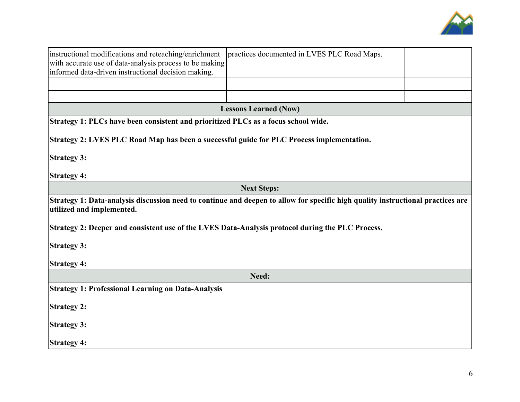

| instructional modifications and reteaching/enrichment<br>with accurate use of data-analysis process to be making<br>informed data-driven instructional decision making. | practices documented in LVES PLC Road Maps. |  |  |
|-------------------------------------------------------------------------------------------------------------------------------------------------------------------------|---------------------------------------------|--|--|
|                                                                                                                                                                         |                                             |  |  |
|                                                                                                                                                                         |                                             |  |  |
|                                                                                                                                                                         | <b>Lessons Learned (Now)</b>                |  |  |
| Strategy 1: PLCs have been consistent and prioritized PLCs as a focus school wide.                                                                                      |                                             |  |  |
| Strategy 2: LVES PLC Road Map has been a successful guide for PLC Process implementation.                                                                               |                                             |  |  |
| <b>Strategy 3:</b>                                                                                                                                                      |                                             |  |  |
| <b>Strategy 4:</b>                                                                                                                                                      |                                             |  |  |
|                                                                                                                                                                         | <b>Next Steps:</b>                          |  |  |
| Strategy 1: Data-analysis discussion need to continue and deepen to allow for specific high quality instructional practices are<br>utilized and implemented.            |                                             |  |  |
| Strategy 2: Deeper and consistent use of the LVES Data-Analysis protocol during the PLC Process.                                                                        |                                             |  |  |
| <b>Strategy 3:</b>                                                                                                                                                      |                                             |  |  |
| <b>Strategy 4:</b>                                                                                                                                                      |                                             |  |  |
| Need:                                                                                                                                                                   |                                             |  |  |
| <b>Strategy 1: Professional Learning on Data-Analysis</b>                                                                                                               |                                             |  |  |
| <b>Strategy 2:</b>                                                                                                                                                      |                                             |  |  |
| <b>Strategy 3:</b>                                                                                                                                                      |                                             |  |  |
| <b>Strategy 4:</b>                                                                                                                                                      |                                             |  |  |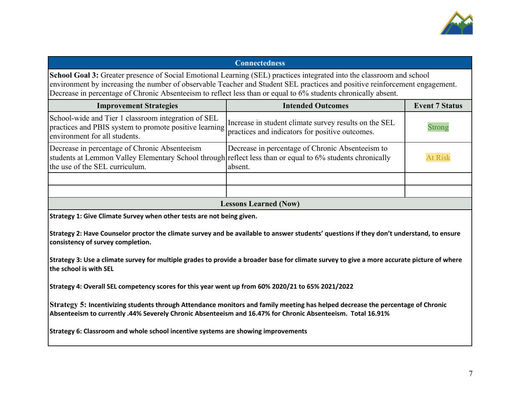

### **Connectedness**

**School Goal 3:** Greater presence of Social Emotional Learning (SEL) practices integrated into the classroom and school environment by increasing the number of observable Teacher and Student SEL practices and positive reinforcement engagement. Decrease in percentage of Chronic Absenteeism to reflect less than or equal to 6% students chronically absent.

| <b>Improvement Strategies</b>                                                                                                                                                                 | <b>Intended Outcomes</b>                                    | <b>Event 7 Status</b> |  |
|-----------------------------------------------------------------------------------------------------------------------------------------------------------------------------------------------|-------------------------------------------------------------|-----------------------|--|
| School-wide and Tier 1 classroom integration of SEL<br>practices and PBIS system to promote positive learning ractices and indicators for positive outcomes.<br>environment for all students. | Increase in student climate survey results on the SEL       | <b>Strong</b>         |  |
| Decrease in percentage of Chronic Absenteeism<br>students at Lemmon Valley Elementary School through reflect less than or equal to 6% students chronically<br>the use of the SEL curriculum.  | Decrease in percentage of Chronic Absenteeism to<br>absent. | <b>At Risk</b>        |  |
|                                                                                                                                                                                               |                                                             |                       |  |
|                                                                                                                                                                                               |                                                             |                       |  |
| gecone Loornad (Now)                                                                                                                                                                          |                                                             |                       |  |

#### **Lessons Learned (Now)**

**Strategy 1: Give Climate Survey when other tests are not being given.**

**Strategy 2: Have Counselor proctor the climate survey and be available to answer students' questions if they don't understand, to ensure consistency of survey completion.**

**Strategy 3: Use a climate survey for multiple grades to provide a broader base for climate survey to give a more accurate picture of where the school is with SEL**

**Strategy 4: Overall SEL competency scores for this year went up from 60% 2020/21 to 65% 2021/2022**

**Strategy 5: Incentivizing students through Attendance monitors and family meeting has helped decrease the percentage of Chronic Absenteeism to currently .44% Severely Chronic Absenteeism and 16.47% for Chronic Absenteeism. Total 16.91%**

**Strategy 6: Classroom and whole school incentive systems are showing improvements**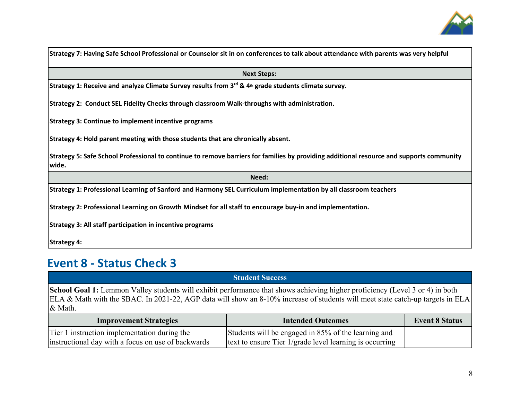

| Strategy 7: Having Safe School Professional or Counselor sit in on conferences to talk about attendance with parents was very helpful             |  |  |  |  |
|---------------------------------------------------------------------------------------------------------------------------------------------------|--|--|--|--|
| <b>Next Steps:</b>                                                                                                                                |  |  |  |  |
| Strategy 1: Receive and analyze Climate Survey results from $3^{rd}$ & 4 <sup>th</sup> grade students climate survey.                             |  |  |  |  |
| Strategy 2: Conduct SEL Fidelity Checks through classroom Walk-throughs with administration.                                                      |  |  |  |  |
| <b>Strategy 3: Continue to implement incentive programs</b>                                                                                       |  |  |  |  |
| Strategy 4: Hold parent meeting with those students that are chronically absent.                                                                  |  |  |  |  |
| Strategy 5: Safe School Professional to continue to remove barriers for families by providing additional resource and supports community<br>wide. |  |  |  |  |
| Need:                                                                                                                                             |  |  |  |  |
| Strategy 1: Professional Learning of Sanford and Harmony SEL Curriculum implementation by all classroom teachers                                  |  |  |  |  |
| Strategy 2: Professional Learning on Growth Mindset for all staff to encourage buy-in and implementation.                                         |  |  |  |  |
| <b>Strategy 3: All staff participation in incentive programs</b>                                                                                  |  |  |  |  |
| <b>Strategy 4:</b>                                                                                                                                |  |  |  |  |

# **Event 8 - Status Check 3**

|                                                                                                                                                                                                                                                                                   | <b>Student Success</b>                                                                                         |                       |  |  |
|-----------------------------------------------------------------------------------------------------------------------------------------------------------------------------------------------------------------------------------------------------------------------------------|----------------------------------------------------------------------------------------------------------------|-----------------------|--|--|
| <b>School Goal 1:</b> Lemmon Valley students will exhibit performance that shows achieving higher proficiency (Level 3 or 4) in both<br>ELA & Math with the SBAC. In 2021-22, AGP data will show an 8-10% increase of students will meet state catch-up targets in ELA<br>& Math. |                                                                                                                |                       |  |  |
| <b>Improvement Strategies</b>                                                                                                                                                                                                                                                     | <b>Intended Outcomes</b>                                                                                       | <b>Event 8 Status</b> |  |  |
| Tier 1 instruction implementation during the<br>instructional day with a focus on use of backwards                                                                                                                                                                                | Students will be engaged in 85% of the learning and<br>text to ensure Tier 1/grade level learning is occurring |                       |  |  |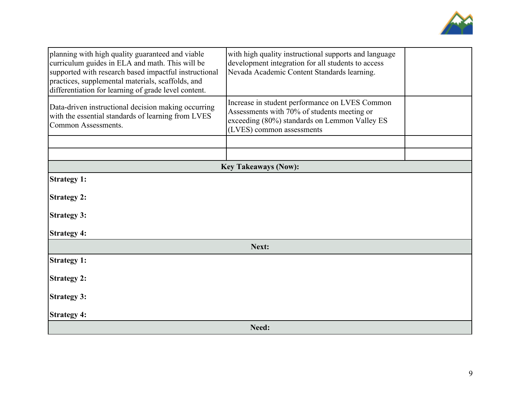

| planning with high quality guaranteed and viable<br>curriculum guides in ELA and math. This will be<br>supported with research based impactful instructional<br>practices, supplemental materials, scaffolds, and<br>differentiation for learning of grade level content. | with high quality instructional supports and language<br>development integration for all students to access<br>Nevada Academic Content Standards learning.                  |  |  |  |
|---------------------------------------------------------------------------------------------------------------------------------------------------------------------------------------------------------------------------------------------------------------------------|-----------------------------------------------------------------------------------------------------------------------------------------------------------------------------|--|--|--|
| Data-driven instructional decision making occurring<br>with the essential standards of learning from LVES<br><b>Common Assessments.</b>                                                                                                                                   | Increase in student performance on LVES Common<br>Assessments with 70% of students meeting or<br>exceeding (80%) standards on Lemmon Valley ES<br>(LVES) common assessments |  |  |  |
|                                                                                                                                                                                                                                                                           |                                                                                                                                                                             |  |  |  |
|                                                                                                                                                                                                                                                                           |                                                                                                                                                                             |  |  |  |
|                                                                                                                                                                                                                                                                           | <b>Key Takeaways (Now):</b>                                                                                                                                                 |  |  |  |
| <b>Strategy 1:</b>                                                                                                                                                                                                                                                        |                                                                                                                                                                             |  |  |  |
| <b>Strategy 2:</b>                                                                                                                                                                                                                                                        |                                                                                                                                                                             |  |  |  |
| <b>Strategy 3:</b>                                                                                                                                                                                                                                                        |                                                                                                                                                                             |  |  |  |
| <b>Strategy 4:</b>                                                                                                                                                                                                                                                        |                                                                                                                                                                             |  |  |  |
| Next:                                                                                                                                                                                                                                                                     |                                                                                                                                                                             |  |  |  |
| <b>Strategy 1:</b>                                                                                                                                                                                                                                                        |                                                                                                                                                                             |  |  |  |
| <b>Strategy 2:</b>                                                                                                                                                                                                                                                        |                                                                                                                                                                             |  |  |  |
| <b>Strategy 3:</b>                                                                                                                                                                                                                                                        |                                                                                                                                                                             |  |  |  |
| <b>Strategy 4:</b>                                                                                                                                                                                                                                                        |                                                                                                                                                                             |  |  |  |
|                                                                                                                                                                                                                                                                           | Need:                                                                                                                                                                       |  |  |  |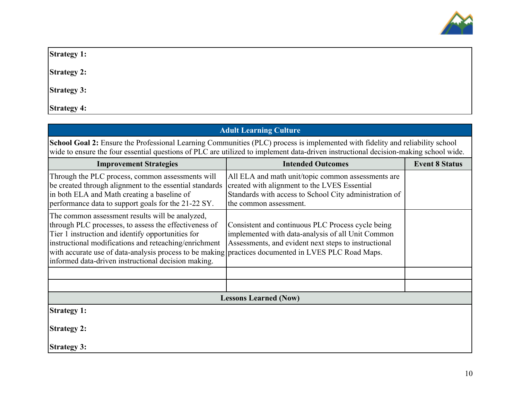

**Strategy 1:**

**Strategy 2:**

**Strategy 3:**

**Strategy 4:**

| <b>Adult Learning Culture</b>                                                                                                                                                                                                                                                                                                                                                        |                                                                                                                                                                                        |  |  |
|--------------------------------------------------------------------------------------------------------------------------------------------------------------------------------------------------------------------------------------------------------------------------------------------------------------------------------------------------------------------------------------|----------------------------------------------------------------------------------------------------------------------------------------------------------------------------------------|--|--|
| School Goal 2: Ensure the Professional Learning Communities (PLC) process is implemented with fidelity and reliability school<br>wide to ensure the four essential questions of PLC are utilized to implement data-driven instructional decision-making school wide.                                                                                                                 |                                                                                                                                                                                        |  |  |
| <b>Improvement Strategies</b>                                                                                                                                                                                                                                                                                                                                                        | <b>Event 8 Status</b><br><b>Intended Outcomes</b>                                                                                                                                      |  |  |
| Through the PLC process, common assessments will<br>be created through alignment to the essential standards<br>in both ELA and Math creating a baseline of<br>performance data to support goals for the 21-22 SY.                                                                                                                                                                    | All ELA and math unit/topic common assessments are<br>created with alignment to the LVES Essential<br>Standards with access to School City administration of<br>the common assessment. |  |  |
| The common assessment results will be analyzed,<br>through PLC processes, to assess the effectiveness of<br>Tier 1 instruction and identify opportunities for<br>instructional modifications and reteaching/enrichment<br>with accurate use of data-analysis process to be making practices documented in LVES PLC Road Maps.<br>informed data-driven instructional decision making. | Consistent and continuous PLC Process cycle being<br>implemented with data-analysis of all Unit Common<br>Assessments, and evident next steps to instructional                         |  |  |
|                                                                                                                                                                                                                                                                                                                                                                                      |                                                                                                                                                                                        |  |  |
|                                                                                                                                                                                                                                                                                                                                                                                      |                                                                                                                                                                                        |  |  |
|                                                                                                                                                                                                                                                                                                                                                                                      | <b>Lessons Learned (Now)</b>                                                                                                                                                           |  |  |
| <b>Strategy 1:</b>                                                                                                                                                                                                                                                                                                                                                                   |                                                                                                                                                                                        |  |  |
| <b>Strategy 2:</b>                                                                                                                                                                                                                                                                                                                                                                   |                                                                                                                                                                                        |  |  |
| <b>Strategy 3:</b>                                                                                                                                                                                                                                                                                                                                                                   |                                                                                                                                                                                        |  |  |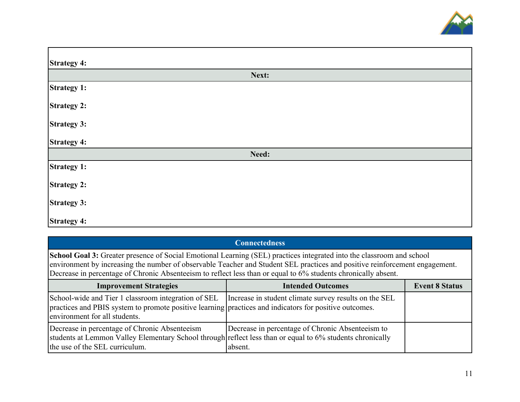

| <b>Strategy 4:</b> |       |  |  |  |
|--------------------|-------|--|--|--|
|                    | Next: |  |  |  |
| <b>Strategy 1:</b> |       |  |  |  |
| <b>Strategy 2:</b> |       |  |  |  |
| <b>Strategy 3:</b> |       |  |  |  |
| <b>Strategy 4:</b> |       |  |  |  |
| Need:              |       |  |  |  |
| <b>Strategy 1:</b> |       |  |  |  |
| <b>Strategy 2:</b> |       |  |  |  |
| <b>Strategy 3:</b> |       |  |  |  |
| <b>Strategy 4:</b> |       |  |  |  |

| <b>Connectedness</b>                                                                                                                                                                                                                                                                                                                                                   |                                                             |                       |  |  |  |
|------------------------------------------------------------------------------------------------------------------------------------------------------------------------------------------------------------------------------------------------------------------------------------------------------------------------------------------------------------------------|-------------------------------------------------------------|-----------------------|--|--|--|
| School Goal 3: Greater presence of Social Emotional Learning (SEL) practices integrated into the classroom and school<br>environment by increasing the number of observable Teacher and Student SEL practices and positive reinforcement engagement.<br>Decrease in percentage of Chronic Absenteeism to reflect less than or equal to 6% students chronically absent. |                                                             |                       |  |  |  |
| <b>Improvement Strategies</b>                                                                                                                                                                                                                                                                                                                                          | <b>Intended Outcomes</b>                                    | <b>Event 8 Status</b> |  |  |  |
| School-wide and Tier 1 classroom integration of SEL Increase in student climate survey results on the SEL<br>practices and PBIS system to promote positive learning practices and indicators for positive outcomes.<br>environment for all students.                                                                                                                   |                                                             |                       |  |  |  |
| Decrease in percentage of Chronic Absenteeism<br>students at Lemmon Valley Elementary School through reflect less than or equal to 6% students chronically<br>the use of the SEL curriculum.                                                                                                                                                                           | Decrease in percentage of Chronic Absenteeism to<br>absent. |                       |  |  |  |